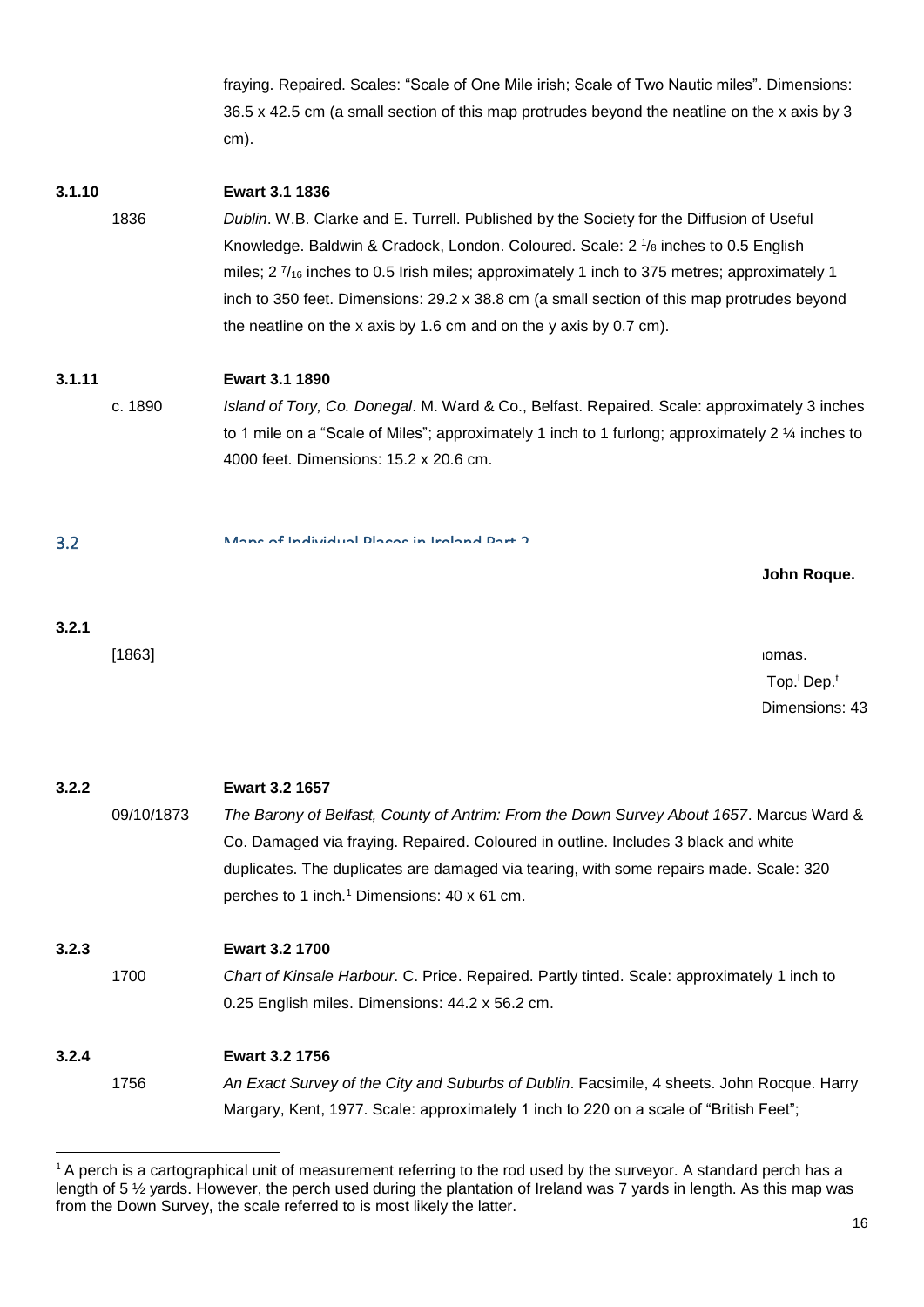fraying. Repaired. Scales: "Scale of One Mile irish; Scale of Two Nautic miles". Dimensions: 36.5 x 42.5 cm (a small section of this map protrudes beyond the neatline on the x axis by 3 cm).

## **3.1.10 Ewart 3.1 1836**

1836 *Dublin*. W.B. Clarke and E. Turrell. Published by the Society for the Diffusion of Useful Knowledge. Baldwin & Cradock, London. Coloured. Scale:  $2\frac{1}{8}$  inches to 0.5 English miles;  $2\frac{7}{16}$  inches to 0.5 Irish miles; approximately 1 inch to 375 metres; approximately 1 inch to 350 feet. Dimensions: 29.2 x 38.8 cm (a small section of this map protrudes beyond the neatline on the x axis by 1.6 cm and on the y axis by 0.7 cm).

## **3.1.11 Ewart 3.1 1890**

c. 1890 *Island of Tory, Co. Donegal*. M. Ward & Co., Belfast. Repaired. Scale: approximately 3 inches to 1 mile on a "Scale of Miles"; approximately 1 inch to 1 furlong; approximately 2 ¼ inches to 4000 feet. Dimensions: 15.2 x 20.6 cm.

# 3.2 Maps of Individual Places in Ireland Part 2

**5 individual maps and 3 duplicates including maps by John Thomas and John Roque.**

## **3.2.1 Ewart 3.2 1593**

[1863] *A Representation of the Siege of Enniskillen Castle in February, 1593*. John Thomas. Facsimile of the original in British Library (Augustus I.ii.39). Major A. C. Cooke, Top.<sup>1</sup> Dep.<sup>1</sup> War Office, London. Scale: approximately 1 inch to 35 on a "Scale for Pases". Dimensions: 43 x 56 cm.

## **3.2.2 Ewart 3.2 1657**

09/10/1873 *The Barony of Belfast, County of Antrim: From the Down Survey About 1657*. Marcus Ward & Co. Damaged via fraying. Repaired. Coloured in outline. Includes 3 black and white duplicates. The duplicates are damaged via tearing, with some repairs made. Scale: 320 perches to 1 inch.<sup>1</sup> Dimensions: 40 x 61 cm.

## **3.2.3 Ewart 3.2 1700**

1700 *Chart of Kinsale Harbour*. C. Price. Repaired. Partly tinted. Scale: approximately 1 inch to 0.25 English miles. Dimensions: 44.2 x 56.2 cm.

# **3.2.4 Ewart 3.2 1756**

**.** 

1756 *An Exact Survey of the City and Suburbs of Dublin*. Facsimile, 4 sheets. John Rocque. Harry Margary, Kent, 1977. Scale: approximately 1 inch to 220 on a scale of "British Feet";

<sup>&</sup>lt;sup>1</sup> A perch is a cartographical unit of measurement referring to the rod used by the surveyor. A standard perch has a length of 5 ½ yards. However, the perch used during the plantation of Ireland was 7 yards in length. As this map was from the Down Survey, the scale referred to is most likely the latter.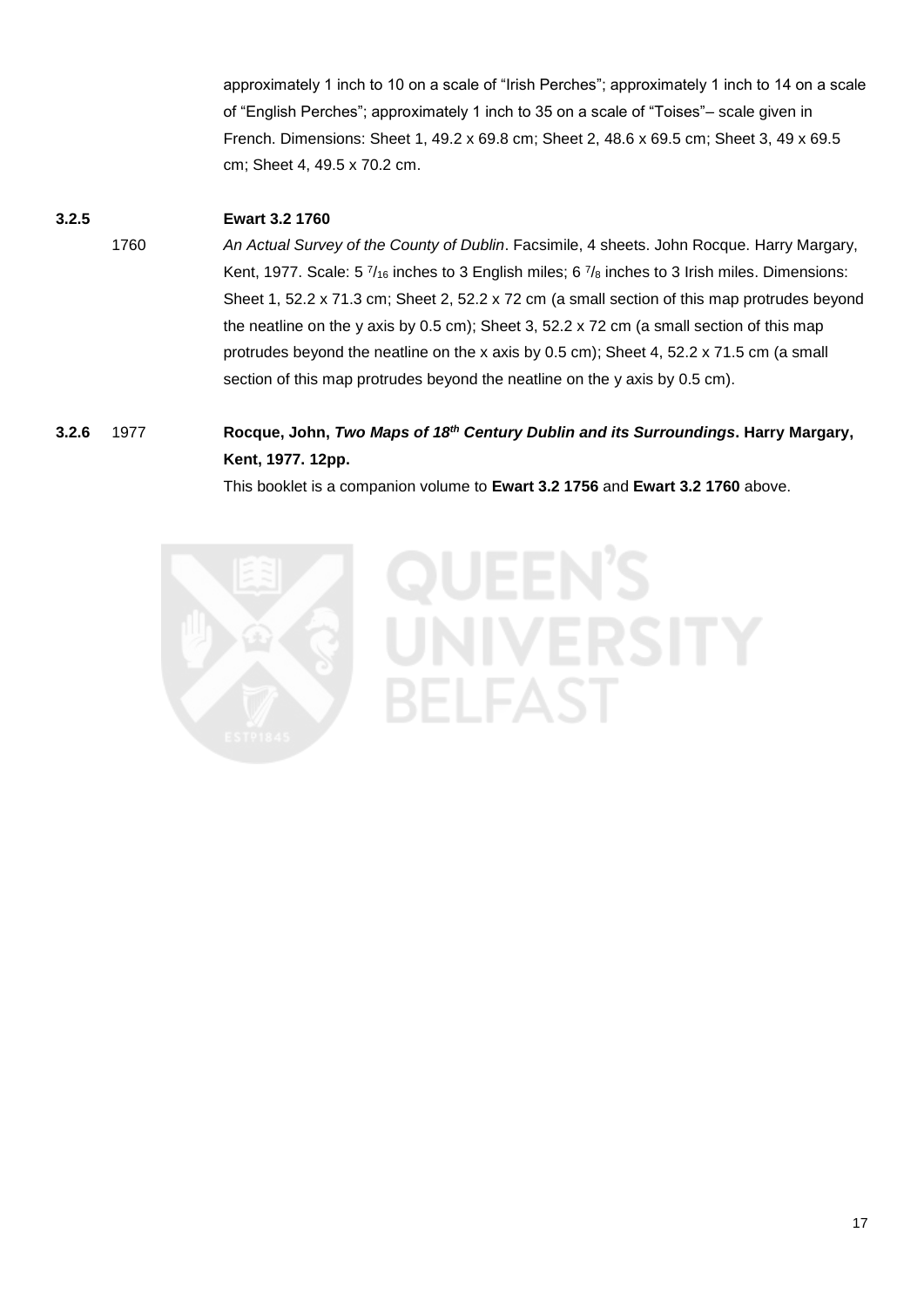approximately 1 inch to 10 on a scale of "Irish Perches"; approximately 1 inch to 14 on a scale of "English Perches"; approximately 1 inch to 35 on a scale of "Toises"– scale given in French. Dimensions: Sheet 1, 49.2 x 69.8 cm; Sheet 2, 48.6 x 69.5 cm; Sheet 3, 49 x 69.5 cm; Sheet 4, 49.5 x 70.2 cm.

# **3.2.5 Ewart 3.2 1760**

1760 *An Actual Survey of the County of Dublin*. Facsimile, 4 sheets. John Rocque. Harry Margary, Kent, 1977. Scale: 5  $\frac{7}{16}$  inches to 3 English miles; 6  $\frac{7}{8}$  inches to 3 Irish miles. Dimensions: Sheet 1, 52.2 x 71.3 cm; Sheet 2, 52.2 x 72 cm (a small section of this map protrudes beyond the neatline on the y axis by 0.5 cm); Sheet 3, 52.2 x 72 cm (a small section of this map protrudes beyond the neatline on the x axis by 0.5 cm); Sheet 4, 52.2 x 71.5 cm (a small section of this map protrudes beyond the neatline on the y axis by 0.5 cm).

# **3.2.6** 1977 **Rocque, John,** *Two Maps of 18th Century Dublin and its Surroundings***. Harry Margary, Kent, 1977. 12pp.**

This booklet is a companion volume to **Ewart 3.2 1756** and **Ewart 3.2 1760** above.

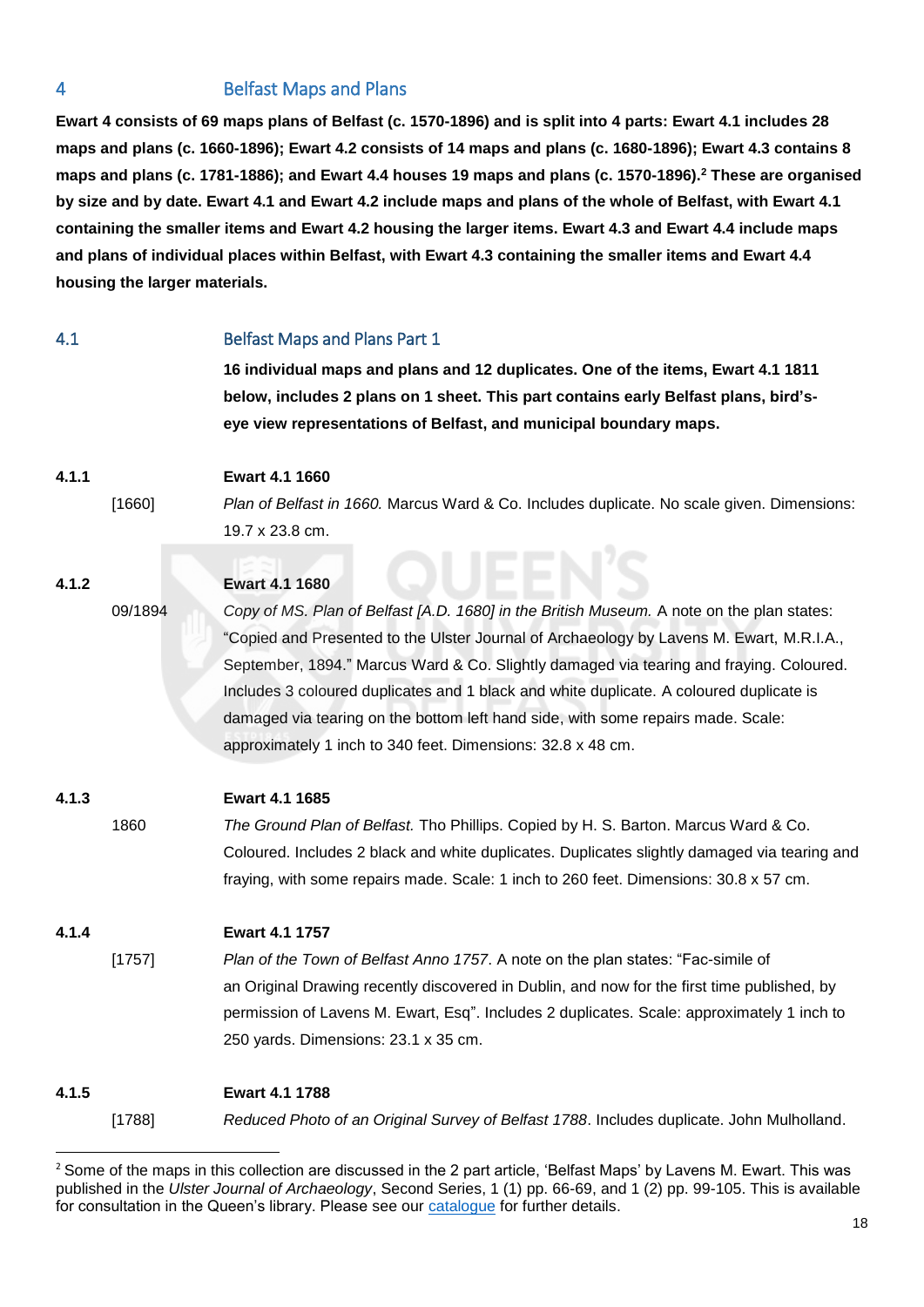# 4 Belfast Maps and Plans

**Ewart 4 consists of 69 maps plans of Belfast (c. 1570-1896) and is split into 4 parts: Ewart 4.1 includes 28 maps and plans (c. 1660-1896); Ewart 4.2 consists of 14 maps and plans (c. 1680-1896); Ewart 4.3 contains 8 maps and plans (c. 1781-1886); and Ewart 4.4 houses 19 maps and plans (c. 1570-1896). <sup>2</sup> These are organised by size and by date. Ewart 4.1 and Ewart 4.2 include maps and plans of the whole of Belfast, with Ewart 4.1 containing the smaller items and Ewart 4.2 housing the larger items. Ewart 4.3 and Ewart 4.4 include maps and plans of individual places within Belfast, with Ewart 4.3 containing the smaller items and Ewart 4.4 housing the larger materials.**

| 4.1   |         | <b>Belfast Maps and Plans Part 1</b>                                                                                                                                                                                                                                                                                                                                                                                                                                                                                           |
|-------|---------|--------------------------------------------------------------------------------------------------------------------------------------------------------------------------------------------------------------------------------------------------------------------------------------------------------------------------------------------------------------------------------------------------------------------------------------------------------------------------------------------------------------------------------|
|       |         | 16 individual maps and plans and 12 duplicates. One of the items, Ewart 4.1 1811<br>below, includes 2 plans on 1 sheet. This part contains early Belfast plans, bird's-                                                                                                                                                                                                                                                                                                                                                        |
|       |         | eye view representations of Belfast, and municipal boundary maps.                                                                                                                                                                                                                                                                                                                                                                                                                                                              |
| 4.1.1 |         | Ewart 4.1 1660                                                                                                                                                                                                                                                                                                                                                                                                                                                                                                                 |
|       | [1660]  | Plan of Belfast in 1660. Marcus Ward & Co. Includes duplicate. No scale given. Dimensions:                                                                                                                                                                                                                                                                                                                                                                                                                                     |
|       |         | 19.7 x 23.8 cm.                                                                                                                                                                                                                                                                                                                                                                                                                                                                                                                |
| 4.1.2 |         | Ewart 4.1 1680                                                                                                                                                                                                                                                                                                                                                                                                                                                                                                                 |
|       | 09/1894 | Copy of MS. Plan of Belfast [A.D. 1680] in the British Museum. A note on the plan states:<br>"Copied and Presented to the Ulster Journal of Archaeology by Lavens M. Ewart, M.R.I.A.,<br>September, 1894." Marcus Ward & Co. Slightly damaged via tearing and fraying. Coloured.<br>Includes 3 coloured duplicates and 1 black and white duplicate. A coloured duplicate is<br>damaged via tearing on the bottom left hand side, with some repairs made. Scale:<br>approximately 1 inch to 340 feet. Dimensions: 32.8 x 48 cm. |
| 4.1.3 |         | Ewart 4.1 1685                                                                                                                                                                                                                                                                                                                                                                                                                                                                                                                 |
|       | 1860    | The Ground Plan of Belfast. Tho Phillips. Copied by H. S. Barton. Marcus Ward & Co.<br>Coloured. Includes 2 black and white duplicates. Duplicates slightly damaged via tearing and<br>fraying, with some repairs made. Scale: 1 inch to 260 feet. Dimensions: 30.8 x 57 cm.                                                                                                                                                                                                                                                   |
| 4.1.4 |         | Ewart 4.1 1757                                                                                                                                                                                                                                                                                                                                                                                                                                                                                                                 |
|       | [1757]  | Plan of the Town of Belfast Anno 1757. A note on the plan states: "Fac-simile of<br>an Original Drawing recently discovered in Dublin, and now for the first time published, by<br>permission of Lavens M. Ewart, Esq". Includes 2 duplicates. Scale: approximately 1 inch to<br>250 yards. Dimensions: 23.1 x 35 cm.                                                                                                                                                                                                          |
| 4.1.5 |         | Ewart 4.1 1788                                                                                                                                                                                                                                                                                                                                                                                                                                                                                                                 |
|       | [1788]  | Reduced Photo of an Original Survey of Belfast 1788. Includes duplicate. John Mulholland.                                                                                                                                                                                                                                                                                                                                                                                                                                      |

<sup>&</sup>lt;sup>2</sup> Some of the maps in this collection are discussed in the 2 part article, 'Belfast Maps' by Lavens M. Ewart. This was published in the *Ulster Journal of Archaeology*, Second Series, 1 (1) pp. 66-69, and 1 (2) pp. 99-105. This is available for consultation in the Queen's library. Please see our [catalogue](https://encore.qub.ac.uk/iii/encore_qub/record/C__Rb1210014) for further details.

**.**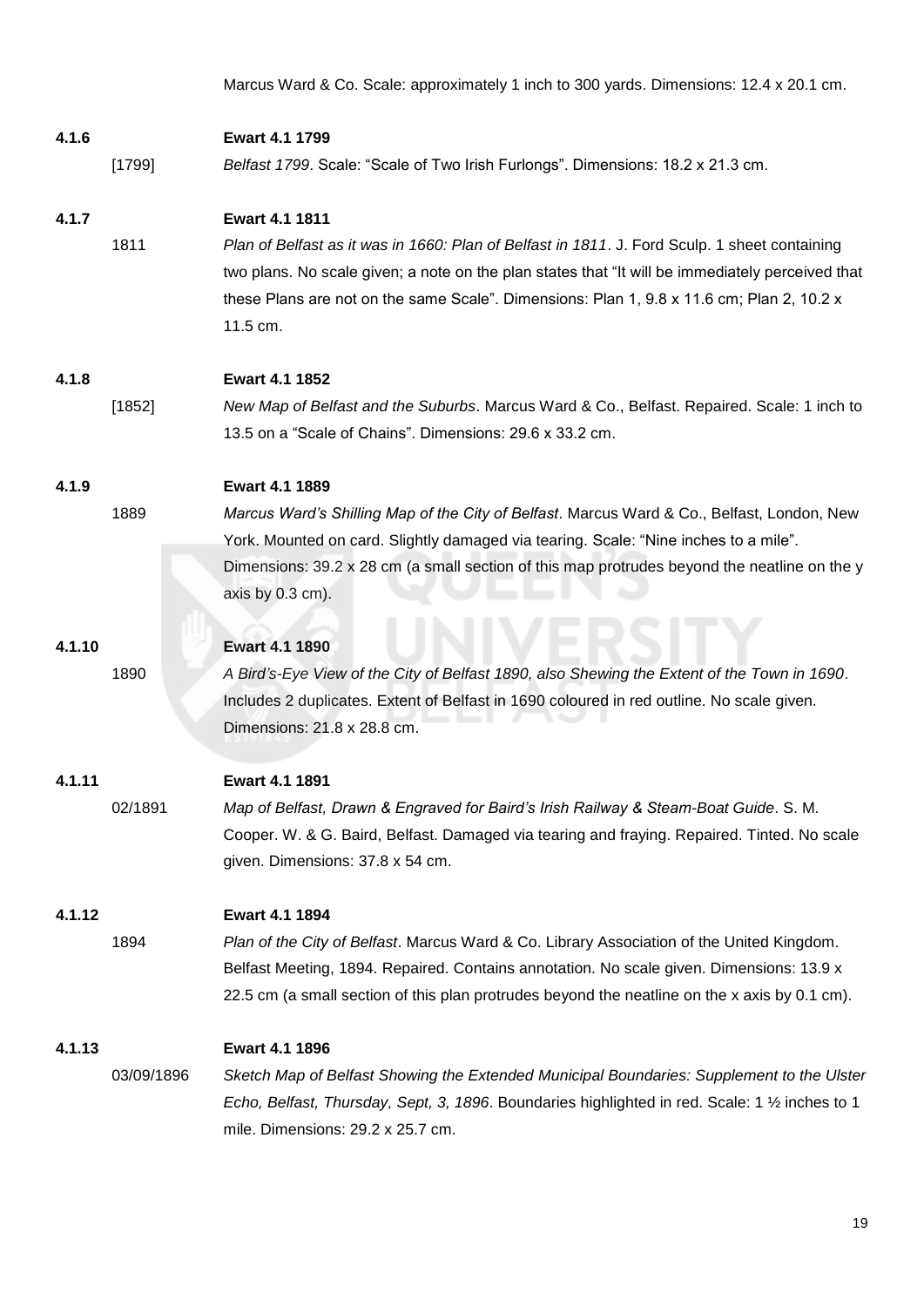Marcus Ward & Co. Scale: approximately 1 inch to 300 yards. Dimensions: 12.4 x 20.1 cm.

| 4.1.6  |            | <b>Ewart 4.1 1799</b>                                                                                                    |
|--------|------------|--------------------------------------------------------------------------------------------------------------------------|
|        | [1799]     | Belfast 1799. Scale: "Scale of Two Irish Furlongs". Dimensions: 18.2 x 21.3 cm.                                          |
| 4.1.7  |            | Ewart 4.1 1811                                                                                                           |
|        | 1811       | Plan of Belfast as it was in 1660: Plan of Belfast in 1811. J. Ford Sculp. 1 sheet containing                            |
|        |            | two plans. No scale given; a note on the plan states that "It will be immediately perceived that                         |
|        |            | these Plans are not on the same Scale". Dimensions: Plan 1, 9.8 x 11.6 cm; Plan 2, 10.2 x                                |
|        |            | 11.5 cm.                                                                                                                 |
| 4.1.8  |            | Ewart 4.1 1852                                                                                                           |
|        | [1852]     | New Map of Belfast and the Suburbs. Marcus Ward & Co., Belfast. Repaired. Scale: 1 inch to                               |
|        |            | 13.5 on a "Scale of Chains". Dimensions: 29.6 x 33.2 cm.                                                                 |
| 4.1.9  |            | <b>Ewart 4.1 1889</b>                                                                                                    |
|        | 1889       | Marcus Ward's Shilling Map of the City of Belfast. Marcus Ward & Co., Belfast, London, New                               |
|        |            | York. Mounted on card. Slightly damaged via tearing. Scale: "Nine inches to a mile".                                     |
|        |            | Dimensions: 39.2 x 28 cm (a small section of this map protrudes beyond the neatline on the y                             |
|        |            | axis by 0.3 cm).                                                                                                         |
|        |            |                                                                                                                          |
| 4.1.10 |            | Ewart 4.1 1890                                                                                                           |
|        | 1890       | A Bird's-Eye View of the City of Belfast 1890, also Shewing the Extent of the Town in 1690.                              |
|        |            | Includes 2 duplicates. Extent of Belfast in 1690 coloured in red outline. No scale given.<br>Dimensions: 21.8 x 28.8 cm. |
|        |            |                                                                                                                          |
| 4.1.11 |            | <b>Ewart 4.1 1891</b>                                                                                                    |
|        | 02/1891    | Map of Belfast, Drawn & Engraved for Baird's Irish Railway & Steam-Boat Guide. S. M.                                     |
|        |            | Cooper. W. & G. Baird, Belfast. Damaged via tearing and fraying. Repaired. Tinted. No scale                              |
|        |            | given. Dimensions: 37.8 x 54 cm.                                                                                         |
| 4.1.12 |            | Ewart 4.1 1894                                                                                                           |
|        | 1894       | Plan of the City of Belfast. Marcus Ward & Co. Library Association of the United Kingdom.                                |
|        |            | Belfast Meeting, 1894. Repaired. Contains annotation. No scale given. Dimensions: 13.9 x                                 |
|        |            | 22.5 cm (a small section of this plan protrudes beyond the neatline on the x axis by 0.1 cm).                            |
| 4.1.13 |            | Ewart 4.1 1896                                                                                                           |
|        | 03/09/1896 | Sketch Map of Belfast Showing the Extended Municipal Boundaries: Supplement to the Ulster                                |
|        |            | Echo, Belfast, Thursday, Sept, 3, 1896. Boundaries highlighted in red. Scale: 1 1/2 inches to 1                          |
|        |            | mile. Dimensions: 29.2 x 25.7 cm.                                                                                        |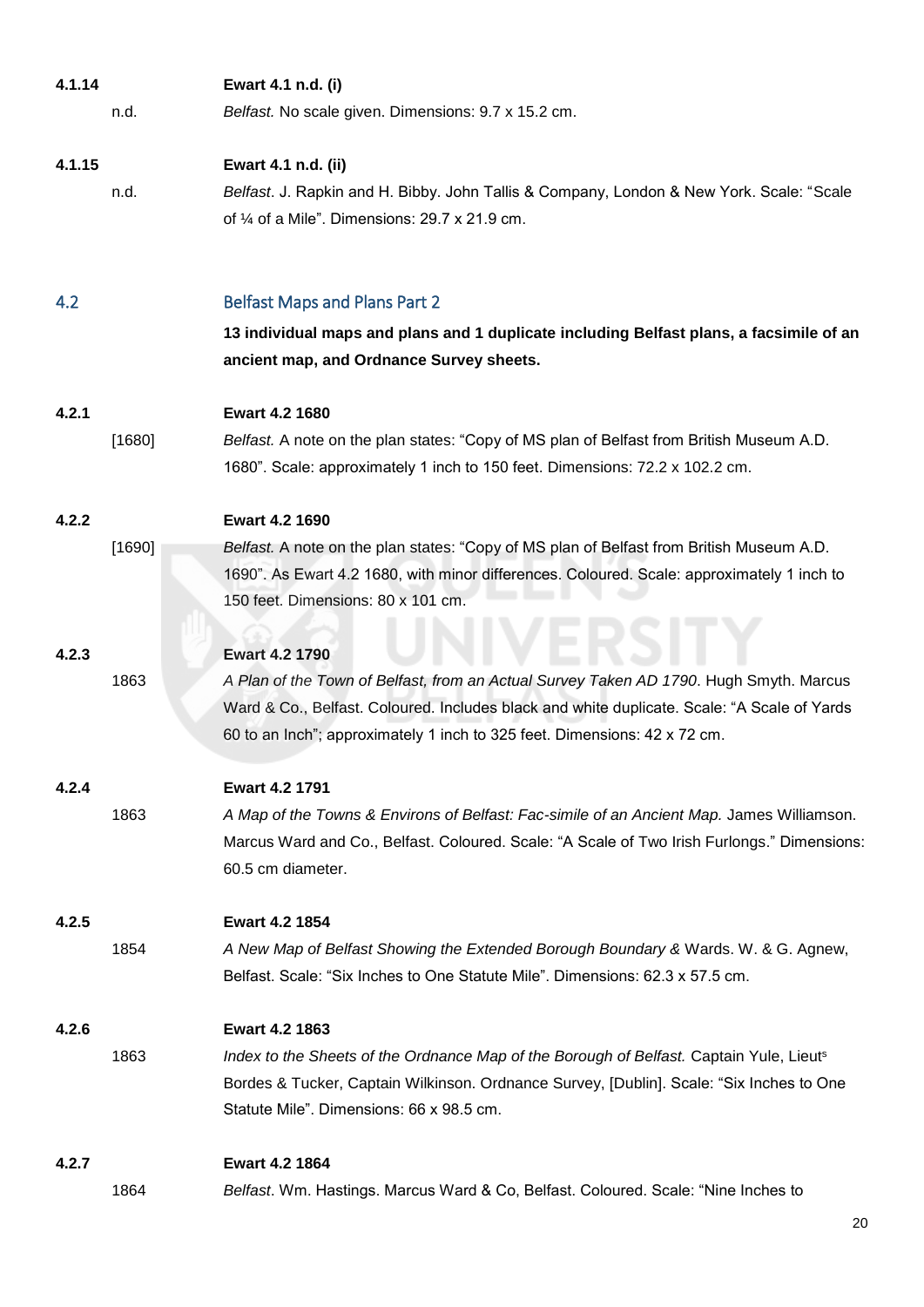| 4.1.14 |        | Ewart 4.1 n.d. (i)                                                                          |
|--------|--------|---------------------------------------------------------------------------------------------|
|        | n.d.   | Belfast. No scale given. Dimensions: 9.7 x 15.2 cm.                                         |
| 4.1.15 |        | Ewart 4.1 n.d. (ii)                                                                         |
|        | n.d.   | Belfast. J. Rapkin and H. Bibby. John Tallis & Company, London & New York. Scale: "Scale    |
|        |        | of $\frac{1}{4}$ of a Mile". Dimensions: 29.7 x 21.9 cm.                                    |
| 4.2    |        | <b>Belfast Maps and Plans Part 2</b>                                                        |
|        |        | 13 individual maps and plans and 1 duplicate including Belfast plans, a facsimile of an     |
|        |        | ancient map, and Ordnance Survey sheets.                                                    |
| 4.2.1  |        | <b>Ewart 4.2 1680</b>                                                                       |
|        | [1680] | Belfast. A note on the plan states: "Copy of MS plan of Belfast from British Museum A.D.    |
|        |        | 1680". Scale: approximately 1 inch to 150 feet. Dimensions: 72.2 x 102.2 cm.                |
| 4.2.2  |        | Ewart 4.2 1690                                                                              |
|        | [1690] | Belfast. A note on the plan states: "Copy of MS plan of Belfast from British Museum A.D.    |
|        |        | 1690". As Ewart 4.2 1680, with minor differences. Coloured. Scale: approximately 1 inch to  |
|        |        | 150 feet. Dimensions: 80 x 101 cm.                                                          |
|        |        |                                                                                             |
| 4.2.3  |        | <b>Ewart 4.2 1790</b>                                                                       |
|        | 1863   | A Plan of the Town of Belfast, from an Actual Survey Taken AD 1790. Hugh Smyth. Marcus      |
|        |        | Ward & Co., Belfast. Coloured. Includes black and white duplicate. Scale: "A Scale of Yards |
|        |        | 60 to an Inch"; approximately 1 inch to 325 feet. Dimensions: 42 x 72 cm.                   |
| 4.2.4  |        | Ewart 4.2 1791                                                                              |
|        | 1863   | A Map of the Towns & Environs of Belfast: Fac-simile of an Ancient Map. James Williamson.   |
|        |        | Marcus Ward and Co., Belfast. Coloured. Scale: "A Scale of Two Irish Furlongs." Dimensions: |
|        |        | 60.5 cm diameter.                                                                           |
| 4.2.5  |        | <b>Ewart 4.2 1854</b>                                                                       |
|        | 1854   | A New Map of Belfast Showing the Extended Borough Boundary & Wards. W. & G. Agnew,          |
|        |        | Belfast. Scale: "Six Inches to One Statute Mile". Dimensions: 62.3 x 57.5 cm.               |
| 4.2.6  |        | Ewart 4.2 1863                                                                              |
|        | 1863   | Index to the Sheets of the Ordnance Map of the Borough of Belfast. Captain Yule, Lieuts     |
|        |        | Bordes & Tucker, Captain Wilkinson. Ordnance Survey, [Dublin]. Scale: "Six Inches to One    |
|        |        | Statute Mile". Dimensions: 66 x 98.5 cm.                                                    |
| 4.2.7  |        | <b>Ewart 4.2 1864</b>                                                                       |
|        | 1864   | Belfast. Wm. Hastings. Marcus Ward & Co, Belfast. Coloured. Scale: "Nine Inches to          |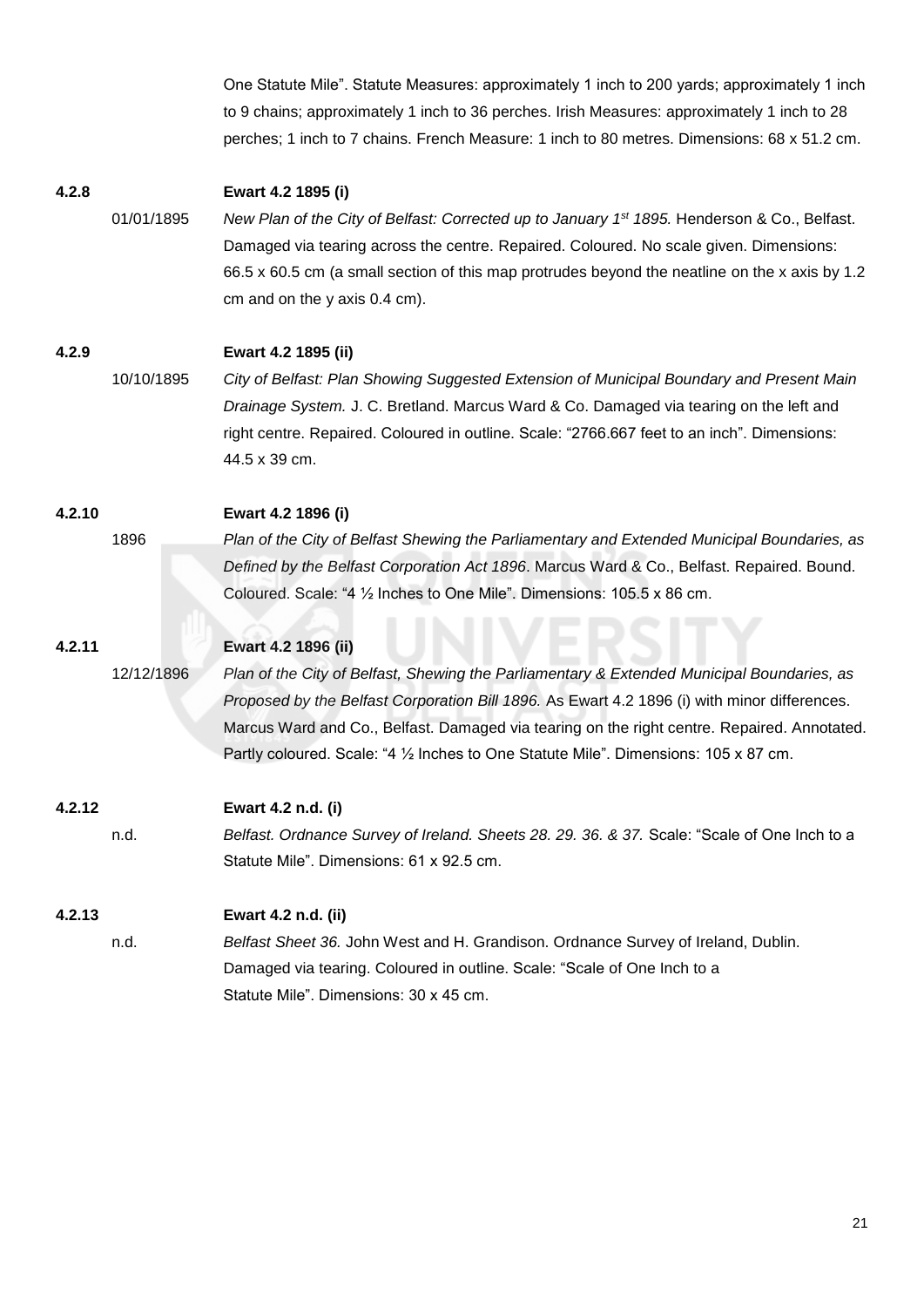One Statute Mile". Statute Measures: approximately 1 inch to 200 yards; approximately 1 inch to 9 chains; approximately 1 inch to 36 perches. Irish Measures: approximately 1 inch to 28 perches; 1 inch to 7 chains. French Measure: 1 inch to 80 metres. Dimensions: 68 x 51.2 cm.

## **4.2.8 Ewart 4.2 1895 (i)**

01/01/1895 *New Plan of the City of Belfast: Corrected up to January 1st 1895.* Henderson & Co., Belfast. Damaged via tearing across the centre. Repaired. Coloured. No scale given. Dimensions: 66.5 x 60.5 cm (a small section of this map protrudes beyond the neatline on the x axis by 1.2 cm and on the y axis 0.4 cm).

## **4.2.9 Ewart 4.2 1895 (ii)**

10/10/1895 *City of Belfast: Plan Showing Suggested Extension of Municipal Boundary and Present Main Drainage System.* J. C. Bretland. Marcus Ward & Co. Damaged via tearing on the left and right centre. Repaired. Coloured in outline. Scale: "2766.667 feet to an inch". Dimensions: 44.5 x 39 cm.

## **4.2.10 Ewart 4.2 1896 (i)**

1896 *Plan of the City of Belfast Shewing the Parliamentary and Extended Municipal Boundaries, as Defined by the Belfast Corporation Act 1896*. Marcus Ward & Co., Belfast. Repaired. Bound. Coloured. Scale: "4 ½ Inches to One Mile". Dimensions: 105.5 x 86 cm.

# **4.2.11 Ewart 4.2 1896 (ii)**

12/12/1896 *Plan of the City of Belfast, Shewing the Parliamentary & Extended Municipal Boundaries, as Proposed by the Belfast Corporation Bill 1896.* As Ewart 4.2 1896 (i) with minor differences. Marcus Ward and Co., Belfast. Damaged via tearing on the right centre. Repaired. Annotated. Partly coloured. Scale: "4 1/2 Inches to One Statute Mile". Dimensions: 105 x 87 cm.

# **4.2.12 Ewart 4.2 n.d. (i)**

n.d. *Belfast. Ordnance Survey of Ireland. Sheets 28. 29. 36. & 37.* Scale: "Scale of One Inch to a Statute Mile". Dimensions: 61 x 92.5 cm.

# **4.2.13 Ewart 4.2 n.d. (ii)**

n.d. *Belfast Sheet 36.* John West and H. Grandison. Ordnance Survey of Ireland, Dublin. Damaged via tearing. Coloured in outline. Scale: "Scale of One Inch to a Statute Mile". Dimensions: 30 x 45 cm.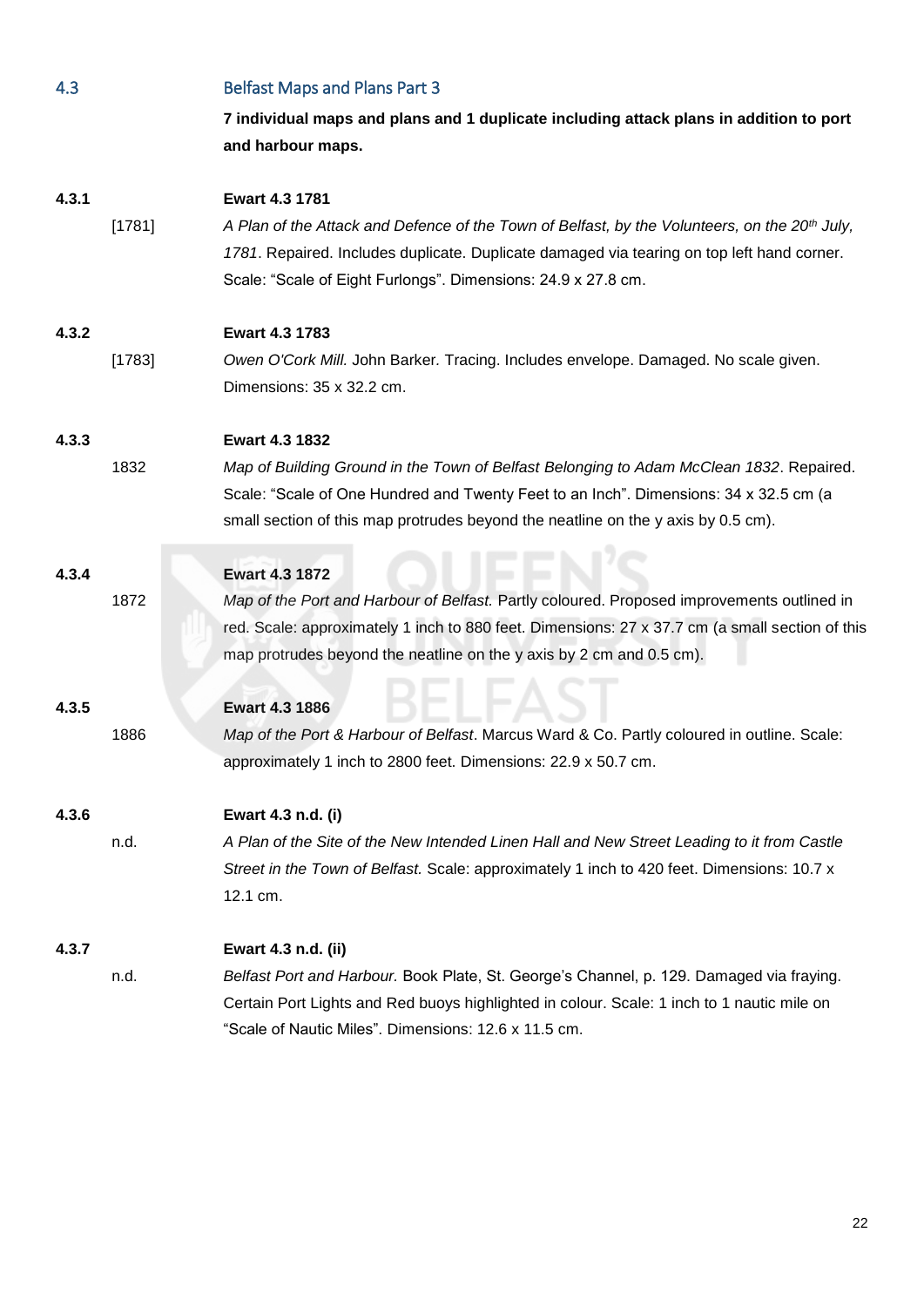| 4.3   |        | <b>Belfast Maps and Plans Part 3</b>                                                                                                                                                                                                                                                       |
|-------|--------|--------------------------------------------------------------------------------------------------------------------------------------------------------------------------------------------------------------------------------------------------------------------------------------------|
|       |        | 7 individual maps and plans and 1 duplicate including attack plans in addition to port<br>and harbour maps.                                                                                                                                                                                |
| 4.3.1 | [1781] | Ewart 4.3 1781<br>A Plan of the Attack and Defence of the Town of Belfast, by the Volunteers, on the 20 <sup>th</sup> July,<br>1781. Repaired. Includes duplicate. Duplicate damaged via tearing on top left hand corner.<br>Scale: "Scale of Eight Furlongs". Dimensions: 24.9 x 27.8 cm. |
| 4.3.2 | [1783] | Ewart 4.3 1783<br>Owen O'Cork Mill. John Barker. Tracing. Includes envelope. Damaged. No scale given.<br>Dimensions: 35 x 32.2 cm.                                                                                                                                                         |
| 4.3.3 | 1832   | Ewart 4.3 1832<br>Map of Building Ground in the Town of Belfast Belonging to Adam McClean 1832. Repaired.<br>Scale: "Scale of One Hundred and Twenty Feet to an Inch". Dimensions: 34 x 32.5 cm (a<br>small section of this map protrudes beyond the neatline on the y axis by 0.5 cm).    |
| 4.3.4 | 1872   | Ewart 4.3 1872<br>Map of the Port and Harbour of Belfast. Partly coloured. Proposed improvements outlined in<br>red. Scale: approximately 1 inch to 880 feet. Dimensions: 27 x 37.7 cm (a small section of this<br>map protrudes beyond the neatline on the y axis by 2 cm and 0.5 cm).    |
| 4.3.5 | 1886   | <b>Ewart 4.3 1886</b><br>Map of the Port & Harbour of Belfast. Marcus Ward & Co. Partly coloured in outline. Scale:<br>approximately 1 inch to 2800 feet. Dimensions: 22.9 x 50.7 cm.                                                                                                      |
| 4.3.6 | n.d.   | Ewart 4.3 n.d. (i)<br>A Plan of the Site of the New Intended Linen Hall and New Street Leading to it from Castle<br>Street in the Town of Belfast. Scale: approximately 1 inch to 420 feet. Dimensions: 10.7 x<br>12.1 cm.                                                                 |
| 4.3.7 | n.d.   | Ewart 4.3 n.d. (ii)<br>Belfast Port and Harbour. Book Plate, St. George's Channel, p. 129. Damaged via fraying.<br>Certain Port Lights and Red buoys highlighted in colour. Scale: 1 inch to 1 nautic mile on<br>"Scale of Nautic Miles". Dimensions: 12.6 x 11.5 cm.                      |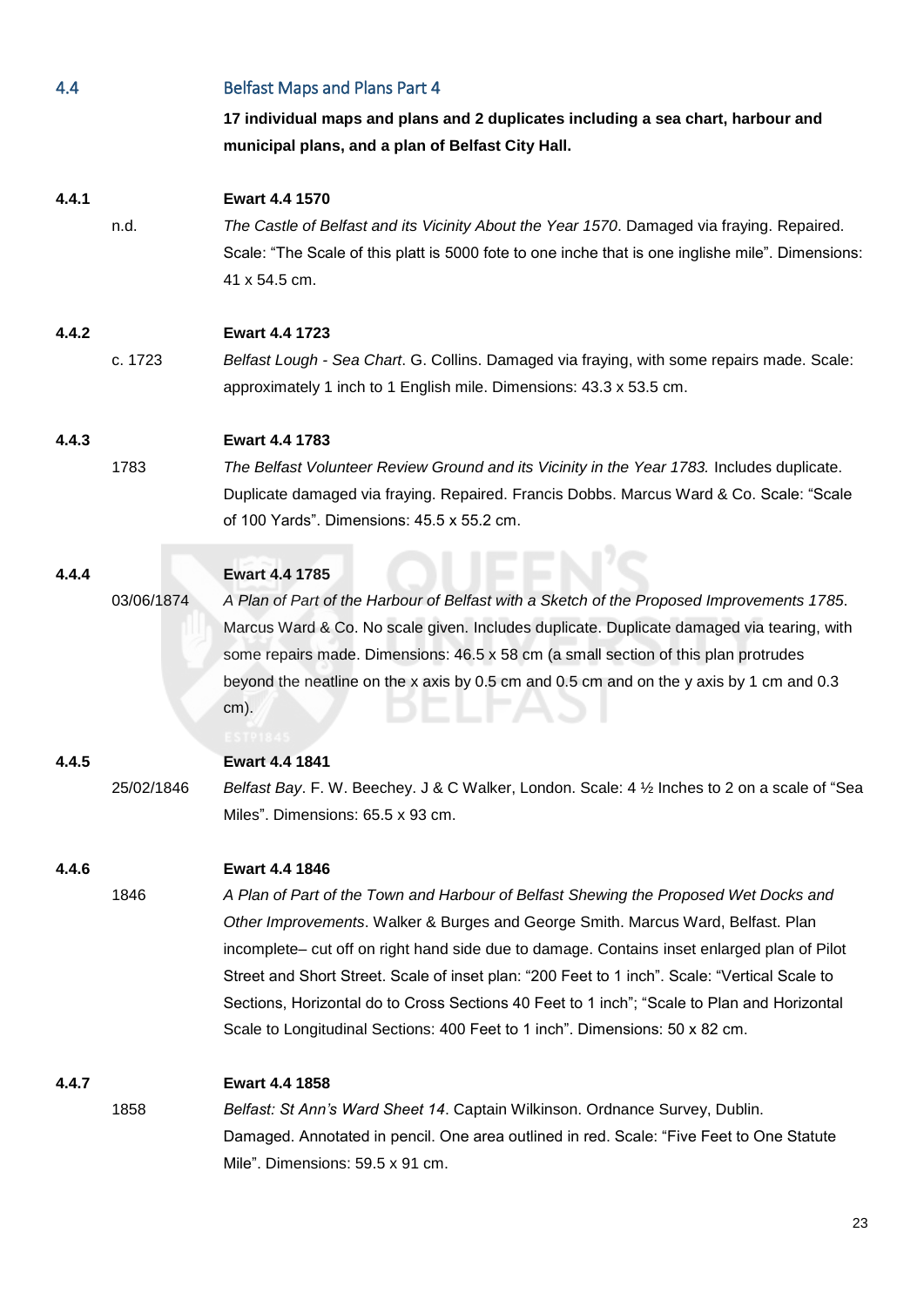| 4.4   |            | <b>Belfast Maps and Plans Part 4</b>                                                              |
|-------|------------|---------------------------------------------------------------------------------------------------|
|       |            | 17 individual maps and plans and 2 duplicates including a sea chart, harbour and                  |
|       |            | municipal plans, and a plan of Belfast City Hall.                                                 |
|       |            |                                                                                                   |
| 4.4.1 |            | Ewart 4.4 1570                                                                                    |
|       | n.d.       | The Castle of Belfast and its Vicinity About the Year 1570. Damaged via fraying. Repaired.        |
|       |            | Scale: "The Scale of this platt is 5000 fote to one inche that is one inglishe mile". Dimensions: |
|       |            | 41 x 54.5 cm.                                                                                     |
| 4.4.2 |            | Ewart 4.4 1723                                                                                    |
|       | c. 1723    | Belfast Lough - Sea Chart. G. Collins. Damaged via fraying, with some repairs made. Scale:        |
|       |            | approximately 1 inch to 1 English mile. Dimensions: 43.3 x 53.5 cm.                               |
|       |            |                                                                                                   |
| 4.4.3 |            | <b>Ewart 4.4 1783</b>                                                                             |
|       | 1783       | The Belfast Volunteer Review Ground and its Vicinity in the Year 1783. Includes duplicate.        |
|       |            | Duplicate damaged via fraying. Repaired. Francis Dobbs. Marcus Ward & Co. Scale: "Scale           |
|       |            | of 100 Yards". Dimensions: 45.5 x 55.2 cm.                                                        |
| 4.4.4 |            | <b>Ewart 4.4 1785</b>                                                                             |
|       | 03/06/1874 | A Plan of Part of the Harbour of Belfast with a Sketch of the Proposed Improvements 1785.         |
|       |            | Marcus Ward & Co. No scale given. Includes duplicate. Duplicate damaged via tearing, with         |
|       |            | some repairs made. Dimensions: 46.5 x 58 cm (a small section of this plan protrudes               |
|       |            | beyond the neatline on the x axis by 0.5 cm and 0.5 cm and on the y axis by 1 cm and 0.3          |
|       |            | $cm)$ .                                                                                           |
|       |            |                                                                                                   |
| 4.4.5 |            | <b>Ewart 4.4 1841</b>                                                                             |
|       | 25/02/1846 | Belfast Bay. F. W. Beechey. J & C Walker, London. Scale: 4 1/2 Inches to 2 on a scale of "Sea     |
|       |            | Miles". Dimensions: 65.5 x 93 cm.                                                                 |
| 4.4.6 |            | <b>Ewart 4.4 1846</b>                                                                             |
|       | 1846       | A Plan of Part of the Town and Harbour of Belfast Shewing the Proposed Wet Docks and              |
|       |            | Other Improvements. Walker & Burges and George Smith. Marcus Ward, Belfast. Plan                  |
|       |            | incomplete- cut off on right hand side due to damage. Contains inset enlarged plan of Pilot       |
|       |            | Street and Short Street. Scale of inset plan: "200 Feet to 1 inch". Scale: "Vertical Scale to     |
|       |            | Sections, Horizontal do to Cross Sections 40 Feet to 1 inch"; "Scale to Plan and Horizontal       |
|       |            | Scale to Longitudinal Sections: 400 Feet to 1 inch". Dimensions: 50 x 82 cm.                      |
| 4.4.7 |            | <b>Ewart 4.4 1858</b>                                                                             |
|       | 1858       | Belfast: St Ann's Ward Sheet 14. Captain Wilkinson. Ordnance Survey, Dublin.                      |
|       |            | Damaged. Annotated in pencil. One area outlined in red. Scale: "Five Feet to One Statute          |
|       |            | Mile". Dimensions: 59.5 x 91 cm.                                                                  |